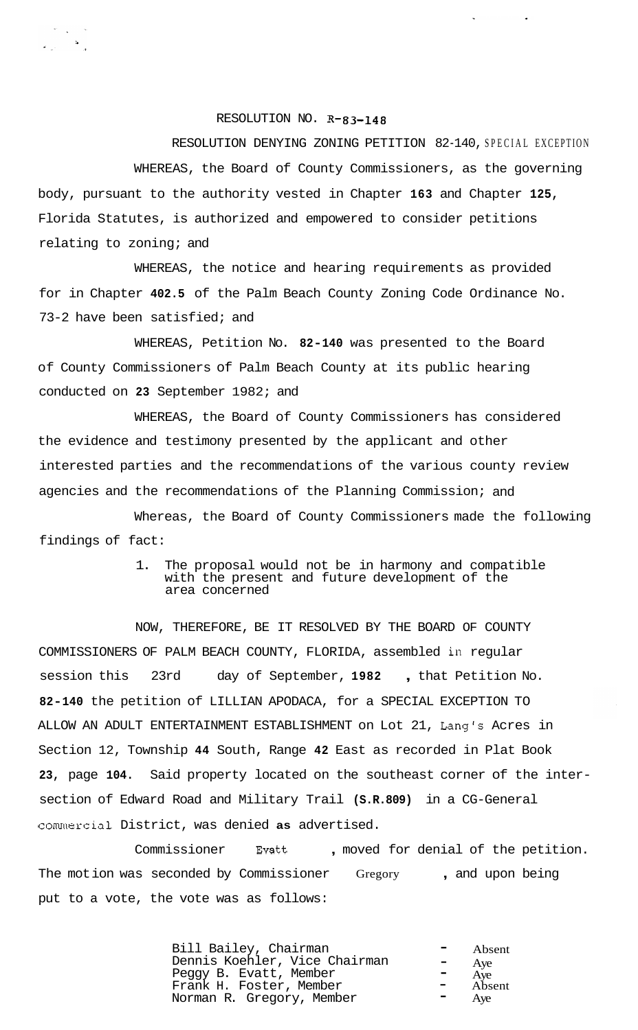## RESOLUTION NO. **R-83-148**

RESOLUTION DENYING ZONING PETITION 82-140, SPECIAL EXCEPTION WHEREAS, the Board of County Commissioners, as the governing body, pursuant to the authority vested in Chapter **163** and Chapter **125,**  Florida Statutes, is authorized and empowered to consider petitions relating to zoning; and

WHEREAS, the notice and hearing requirements as provided for in Chapter **402.5** of the Palm Beach County Zoning Code Ordinance No. 73-2 have been satisfied; and

WHEREAS, Petition No. **82-140** was presented to the Board of County Commissioners of Palm Beach County at its public hearing conducted on **23** September 1982; and

WHEREAS, the Board of County Commissioners has considered the evidence and testimony presented by the applicant and other interested parties and the recommendations of the various county review agencies and the recommendations of the Planning Commission; and

Whereas, the Board of County Commissioners made the following findings of fact:

## 1. The proposal would not be in harmony and compatible with the present and future development of the area concerned

NOW, THEREFORE, BE IT RESOLVED BY THE BOARD OF COUNTY COMMISSIONERS OF PALM BEACH COUNTY, FLORIDA, assembled in regular session this 23rd day of September, **1982** , that Petition No. **82-140** the petition of LILLIAN APODACA, for a SPECIAL EXCEPTION TO ALLOW AN ADULT ENTERTAINMENT ESTABLISHMENT on Lot 21, Lang's Acres in Section 12, Township **44** South, Range **42** East as recorded in Plat Book **23,** page **104.** Said property located on the southeast corner of the intersection of Edward Road and Military Trail **(S.R.809)** in a CG-General commercial District, was denied **as** advertised.

Commissioner Evatt , moved for denial of the petition. The motion was seconded by Commissioner Gregory , and upon being put to a vote, the vote was as follows:

| Bill Bailey, Chairman<br>Dennis Koehler, Vice Chairman<br>Peggy B. Evatt, Member | <b>Contract Contract</b><br>$\blacksquare$<br>$\mathcal{L}=\mathcal{L}^{\mathcal{L}}$ , where $\mathcal{L}^{\mathcal{L}}$ | Absent<br>Aye<br>$-$ Aye<br>$-$ Absent |
|----------------------------------------------------------------------------------|---------------------------------------------------------------------------------------------------------------------------|----------------------------------------|
| Frank H. Foster, Member                                                          |                                                                                                                           |                                        |
| Norman R. Gregory, Member                                                        | ш.                                                                                                                        | Aye                                    |